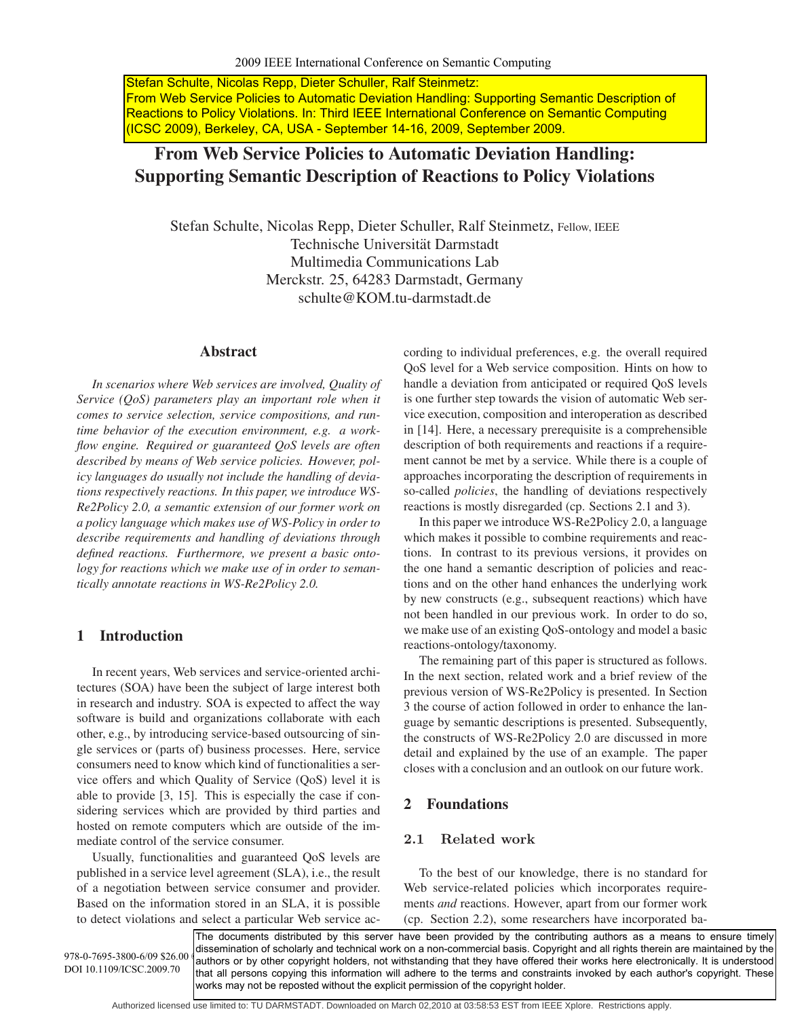Stefan Schulte, Nicolas Repp, Dieter Schuller, Ralf Steinmetz: From Web Service Policies to Automatic Deviation Handling: Supporting Semantic Description of Reactions to Policy Violations. In: Third IEEE International Conference on Semantic Computing (ICSC 2009), Berkeley, CA, USA - September 14-16, 2009, September 2009.

# From Web Service Policies to Automatic Deviation Handling: Supporting Semantic Description of Reactions to Policy Violations

Stefan Schulte, Nicolas Repp, Dieter Schuller, Ralf Steinmetz, Fellow, IEEE Technische Universität Darmstadt Multimedia Communications Lab Merckstr. 25, 64283 Darmstadt, Germany schulte@KOM.tu-darmstadt.de

## Abstract

*In scenarios where Web services are involved, Quality of Service (QoS) parameters play an important role when it comes to service selection, service compositions, and runtime behavior of the execution environment, e.g. a workflow engine. Required or guaranteed QoS levels are often described by means of Web service policies. However, policy languages do usually not include the handling of deviations respectively reactions. In this paper, we introduce WS-Re2Policy 2.0, a semantic extension of our former work on a policy language which makes use of WS-Policy in order to describe requirements and handling of deviations through defined reactions. Furthermore, we present a basic ontology for reactions which we make use of in order to semantically annotate reactions in WS-Re2Policy 2.0.*

# 1 Introduction

In recent years, Web services and service-oriented architectures (SOA) have been the subject of large interest both in research and industry. SOA is expected to affect the way software is build and organizations collaborate with each other, e.g., by introducing service-based outsourcing of single services or (parts of) business processes. Here, service consumers need to know which kind of functionalities a service offers and which Quality of Service (QoS) level it is able to provide [3, 15]. This is especially the case if considering services which are provided by third parties and hosted on remote computers which are outside of the immediate control of the service consumer.

Usually, functionalities and guaranteed QoS levels are published in a service level agreement (SLA), i.e., the result of a negotiation between service consumer and provider. Based on the information stored in an SLA, it is possible to detect violations and select a particular Web service according to individual preferences, e.g. the overall required QoS level for a Web service composition. Hints on how to handle a deviation from anticipated or required QoS levels is one further step towards the vision of automatic Web service execution, composition and interoperation as described in [14]. Here, a necessary prerequisite is a comprehensible description of both requirements and reactions if a requirement cannot be met by a service. While there is a couple of approaches incorporating the description of requirements in so-called *policies*, the handling of deviations respectively reactions is mostly disregarded (cp. Sections 2.1 and 3).

In this paper we introduce WS-Re2Policy 2.0, a language which makes it possible to combine requirements and reactions. In contrast to its previous versions, it provides on the one hand a semantic description of policies and reactions and on the other hand enhances the underlying work by new constructs (e.g., subsequent reactions) which have not been handled in our previous work. In order to do so, we make use of an existing QoS-ontology and model a basic reactions-ontology/taxonomy.

The remaining part of this paper is structured as follows. In the next section, related work and a brief review of the previous version of WS-Re2Policy is presented. In Section 3 the course of action followed in order to enhance the language by semantic descriptions is presented. Subsequently, the constructs of WS-Re2Policy 2.0 are discussed in more detail and explained by the use of an example. The paper closes with a conclusion and an outlook on our future work.

# 2 Foundations

#### **2.1 Related work**

To the best of our knowledge, there is no standard for Web service-related policies which incorporates requirements *and* reactions. However, apart from our former work (cp. Section 2.2), some researchers have incorporated ba-

978-0-7695-3800-6/09 \$26.00 DOI 10.1109/ICSC.2009.70

authors or by other copyright holders, not withstanding that they have offered their works here electronically. It is understood The documents distributed by this server have been provided by the contributing authors as a means to ensure timely dissemination of scholarly and technical work on a non-commercial basis. Copyright and all rights therein are maintained by the that all persons copying this information will adhere to the terms and constraints invoked by each author's copyright. These works may not be reposted without the explicit permission of the copyright holder.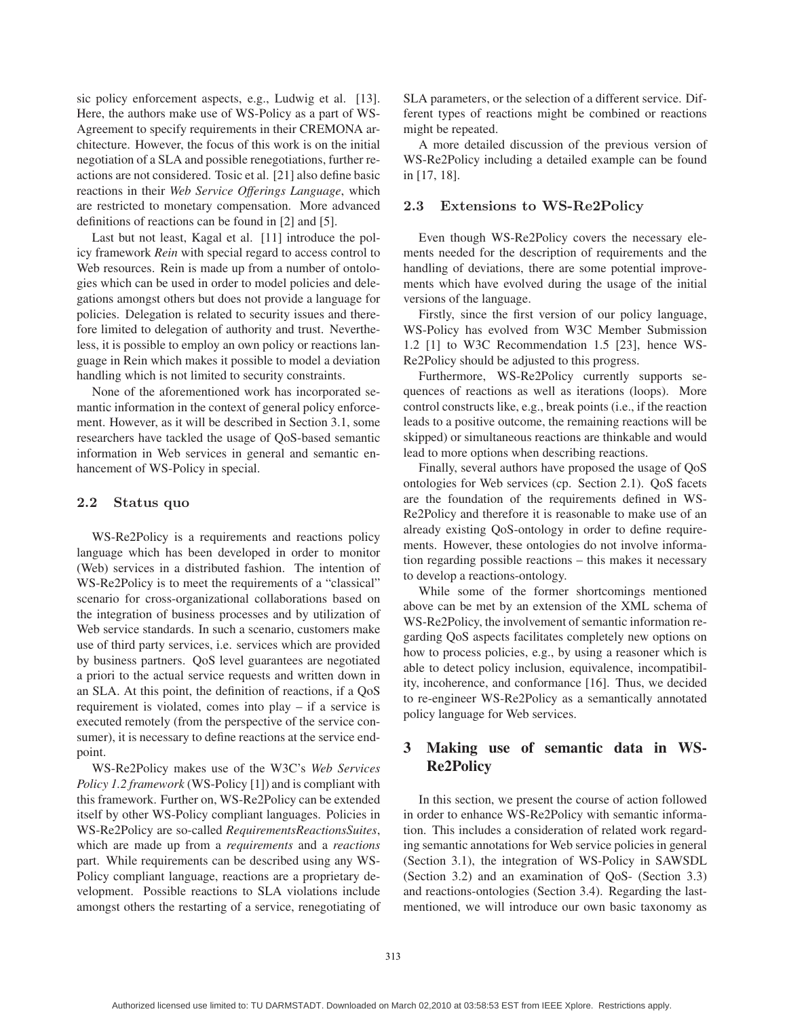sic policy enforcement aspects, e.g., Ludwig et al. [13]. Here, the authors make use of WS-Policy as a part of WS-Agreement to specify requirements in their CREMONA architecture. However, the focus of this work is on the initial negotiation of a SLA and possible renegotiations, further reactions are not considered. Tosic et al. [21] also define basic reactions in their *Web Service Offerings Language*, which are restricted to monetary compensation. More advanced definitions of reactions can be found in [2] and [5].

Last but not least, Kagal et al. [11] introduce the policy framework *Rein* with special regard to access control to Web resources. Rein is made up from a number of ontologies which can be used in order to model policies and delegations amongst others but does not provide a language for policies. Delegation is related to security issues and therefore limited to delegation of authority and trust. Nevertheless, it is possible to employ an own policy or reactions language in Rein which makes it possible to model a deviation handling which is not limited to security constraints.

None of the aforementioned work has incorporated semantic information in the context of general policy enforcement. However, as it will be described in Section 3.1, some researchers have tackled the usage of QoS-based semantic information in Web services in general and semantic enhancement of WS-Policy in special.

#### **2.2 Status quo**

WS-Re2Policy is a requirements and reactions policy language which has been developed in order to monitor (Web) services in a distributed fashion. The intention of WS-Re2Policy is to meet the requirements of a "classical" scenario for cross-organizational collaborations based on the integration of business processes and by utilization of Web service standards. In such a scenario, customers make use of third party services, i.e. services which are provided by business partners. QoS level guarantees are negotiated a priori to the actual service requests and written down in an SLA. At this point, the definition of reactions, if a QoS requirement is violated, comes into play – if a service is executed remotely (from the perspective of the service consumer), it is necessary to define reactions at the service endpoint.

WS-Re2Policy makes use of the W3C's *Web Services Policy 1.2 framework* (WS-Policy [1]) and is compliant with this framework. Further on, WS-Re2Policy can be extended itself by other WS-Policy compliant languages. Policies in WS-Re2Policy are so-called *RequirementsReactionsSuites*, which are made up from a *requirements* and a *reactions* part. While requirements can be described using any WS-Policy compliant language, reactions are a proprietary development. Possible reactions to SLA violations include amongst others the restarting of a service, renegotiating of SLA parameters, or the selection of a different service. Different types of reactions might be combined or reactions might be repeated.

A more detailed discussion of the previous version of WS-Re2Policy including a detailed example can be found in [17, 18].

#### **2.3 Extensions to WS-Re2Policy**

Even though WS-Re2Policy covers the necessary elements needed for the description of requirements and the handling of deviations, there are some potential improvements which have evolved during the usage of the initial versions of the language.

Firstly, since the first version of our policy language, WS-Policy has evolved from W3C Member Submission 1.2 [1] to W3C Recommendation 1.5 [23], hence WS-Re2Policy should be adjusted to this progress.

Furthermore, WS-Re2Policy currently supports sequences of reactions as well as iterations (loops). More control constructs like, e.g., break points (i.e., if the reaction leads to a positive outcome, the remaining reactions will be skipped) or simultaneous reactions are thinkable and would lead to more options when describing reactions.

Finally, several authors have proposed the usage of QoS ontologies for Web services (cp. Section 2.1). QoS facets are the foundation of the requirements defined in WS-Re2Policy and therefore it is reasonable to make use of an already existing QoS-ontology in order to define requirements. However, these ontologies do not involve information regarding possible reactions – this makes it necessary to develop a reactions-ontology.

While some of the former shortcomings mentioned above can be met by an extension of the XML schema of WS-Re2Policy, the involvement of semantic information regarding QoS aspects facilitates completely new options on how to process policies, e.g., by using a reasoner which is able to detect policy inclusion, equivalence, incompatibility, incoherence, and conformance [16]. Thus, we decided to re-engineer WS-Re2Policy as a semantically annotated policy language for Web services.

# 3 Making use of semantic data in WS-Re2Policy

In this section, we present the course of action followed in order to enhance WS-Re2Policy with semantic information. This includes a consideration of related work regarding semantic annotations for Web service policies in general (Section 3.1), the integration of WS-Policy in SAWSDL (Section 3.2) and an examination of QoS- (Section 3.3) and reactions-ontologies (Section 3.4). Regarding the lastmentioned, we will introduce our own basic taxonomy as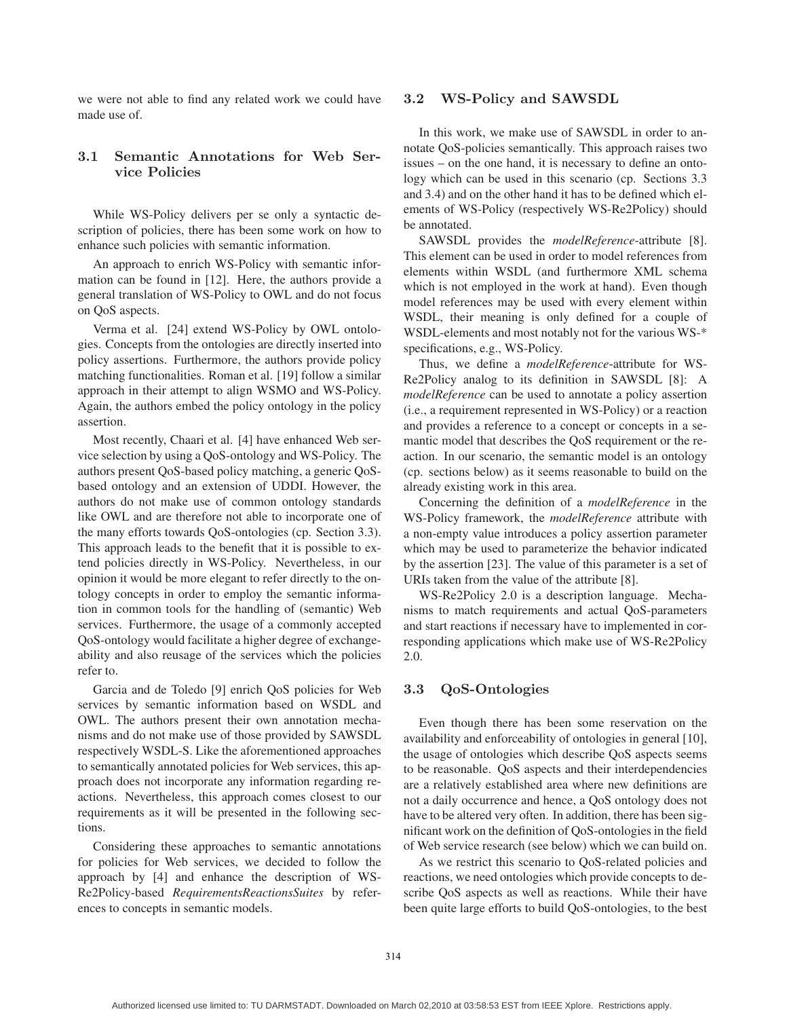we were not able to find any related work we could have made use of.

## **3.1 Semantic Annotations for Web Service Policies**

While WS-Policy delivers per se only a syntactic description of policies, there has been some work on how to enhance such policies with semantic information.

An approach to enrich WS-Policy with semantic information can be found in [12]. Here, the authors provide a general translation of WS-Policy to OWL and do not focus on QoS aspects.

Verma et al. [24] extend WS-Policy by OWL ontologies. Concepts from the ontologies are directly inserted into policy assertions. Furthermore, the authors provide policy matching functionalities. Roman et al. [19] follow a similar approach in their attempt to align WSMO and WS-Policy. Again, the authors embed the policy ontology in the policy assertion.

Most recently, Chaari et al. [4] have enhanced Web service selection by using a QoS-ontology and WS-Policy. The authors present QoS-based policy matching, a generic QoSbased ontology and an extension of UDDI. However, the authors do not make use of common ontology standards like OWL and are therefore not able to incorporate one of the many efforts towards QoS-ontologies (cp. Section 3.3). This approach leads to the benefit that it is possible to extend policies directly in WS-Policy. Nevertheless, in our opinion it would be more elegant to refer directly to the ontology concepts in order to employ the semantic information in common tools for the handling of (semantic) Web services. Furthermore, the usage of a commonly accepted QoS-ontology would facilitate a higher degree of exchangeability and also reusage of the services which the policies refer to.

Garcia and de Toledo [9] enrich QoS policies for Web services by semantic information based on WSDL and OWL. The authors present their own annotation mechanisms and do not make use of those provided by SAWSDL respectively WSDL-S. Like the aforementioned approaches to semantically annotated policies for Web services, this approach does not incorporate any information regarding reactions. Nevertheless, this approach comes closest to our requirements as it will be presented in the following sections.

Considering these approaches to semantic annotations for policies for Web services, we decided to follow the approach by [4] and enhance the description of WS-Re2Policy-based *RequirementsReactionsSuites* by references to concepts in semantic models.

#### **3.2 WS-Policy and SAWSDL**

In this work, we make use of SAWSDL in order to annotate QoS-policies semantically. This approach raises two issues – on the one hand, it is necessary to define an ontology which can be used in this scenario (cp. Sections 3.3 and 3.4) and on the other hand it has to be defined which elements of WS-Policy (respectively WS-Re2Policy) should be annotated.

SAWSDL provides the *modelReference*-attribute [8]. This element can be used in order to model references from elements within WSDL (and furthermore XML schema which is not employed in the work at hand). Even though model references may be used with every element within WSDL, their meaning is only defined for a couple of WSDL-elements and most notably not for the various WS-\* specifications, e.g., WS-Policy.

Thus, we define a *modelReference*-attribute for WS-Re2Policy analog to its definition in SAWSDL [8]: A *modelReference* can be used to annotate a policy assertion (i.e., a requirement represented in WS-Policy) or a reaction and provides a reference to a concept or concepts in a semantic model that describes the QoS requirement or the reaction. In our scenario, the semantic model is an ontology (cp. sections below) as it seems reasonable to build on the already existing work in this area.

Concerning the definition of a *modelReference* in the WS-Policy framework, the *modelReference* attribute with a non-empty value introduces a policy assertion parameter which may be used to parameterize the behavior indicated by the assertion [23]. The value of this parameter is a set of URIs taken from the value of the attribute [8].

WS-Re2Policy 2.0 is a description language. Mechanisms to match requirements and actual QoS-parameters and start reactions if necessary have to implemented in corresponding applications which make use of WS-Re2Policy 2.0.

#### **3.3 QoS-Ontologies**

Even though there has been some reservation on the availability and enforceability of ontologies in general [10], the usage of ontologies which describe QoS aspects seems to be reasonable. QoS aspects and their interdependencies are a relatively established area where new definitions are not a daily occurrence and hence, a QoS ontology does not have to be altered very often. In addition, there has been significant work on the definition of QoS-ontologies in the field of Web service research (see below) which we can build on.

As we restrict this scenario to QoS-related policies and reactions, we need ontologies which provide concepts to describe QoS aspects as well as reactions. While their have been quite large efforts to build QoS-ontologies, to the best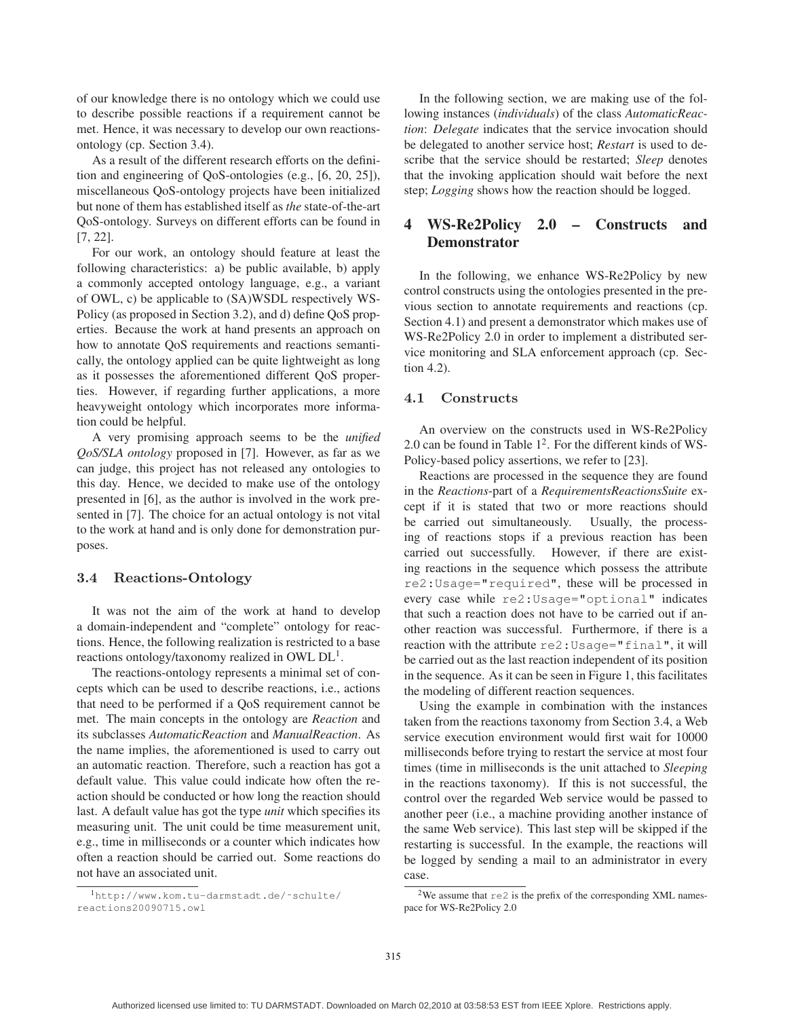of our knowledge there is no ontology which we could use to describe possible reactions if a requirement cannot be met. Hence, it was necessary to develop our own reactionsontology (cp. Section 3.4).

As a result of the different research efforts on the definition and engineering of QoS-ontologies (e.g., [6, 20, 25]), miscellaneous QoS-ontology projects have been initialized but none of them has established itself as *the* state-of-the-art QoS-ontology. Surveys on different efforts can be found in [7, 22].

For our work, an ontology should feature at least the following characteristics: a) be public available, b) apply a commonly accepted ontology language, e.g., a variant of OWL, c) be applicable to (SA)WSDL respectively WS-Policy (as proposed in Section 3.2), and d) define QoS properties. Because the work at hand presents an approach on how to annotate QoS requirements and reactions semantically, the ontology applied can be quite lightweight as long as it possesses the aforementioned different QoS properties. However, if regarding further applications, a more heavyweight ontology which incorporates more information could be helpful.

A very promising approach seems to be the *unified QoS/SLA ontology* proposed in [7]. However, as far as we can judge, this project has not released any ontologies to this day. Hence, we decided to make use of the ontology presented in [6], as the author is involved in the work presented in [7]. The choice for an actual ontology is not vital to the work at hand and is only done for demonstration purposes.

#### **3.4 Reactions-Ontology**

It was not the aim of the work at hand to develop a domain-independent and "complete" ontology for reactions. Hence, the following realization is restricted to a base reactions ontology/taxonomy realized in OWL DL<sup>1</sup>.

The reactions-ontology represents a minimal set of concepts which can be used to describe reactions, i.e., actions that need to be performed if a QoS requirement cannot be met. The main concepts in the ontology are *Reaction* and its subclasses *AutomaticReaction* and *ManualReaction*. As the name implies, the aforementioned is used to carry out an automatic reaction. Therefore, such a reaction has got a default value. This value could indicate how often the reaction should be conducted or how long the reaction should last. A default value has got the type *unit* which specifies its measuring unit. The unit could be time measurement unit, e.g., time in milliseconds or a counter which indicates how often a reaction should be carried out. Some reactions do not have an associated unit.

In the following section, we are making use of the following instances (*individuals*) of the class *AutomaticReaction*: *Delegate* indicates that the service invocation should be delegated to another service host; *Restart* is used to describe that the service should be restarted; *Sleep* denotes that the invoking application should wait before the next step; *Logging* shows how the reaction should be logged.

# 4 WS-Re2Policy 2.0 – Constructs and **Demonstrator**

In the following, we enhance WS-Re2Policy by new control constructs using the ontologies presented in the previous section to annotate requirements and reactions (cp. Section 4.1) and present a demonstrator which makes use of WS-Re2Policy 2.0 in order to implement a distributed service monitoring and SLA enforcement approach (cp. Section 4.2).

#### **4.1 Constructs**

An overview on the constructs used in WS-Re2Policy 2.0 can be found in Table  $1^2$ . For the different kinds of WS-Policy-based policy assertions, we refer to [23].

Reactions are processed in the sequence they are found in the *Reactions*-part of a *RequirementsReactionsSuite* except if it is stated that two or more reactions should be carried out simultaneously. Usually, the processing of reactions stops if a previous reaction has been carried out successfully. However, if there are existing reactions in the sequence which possess the attribute re2:Usage="required", these will be processed in every case while re2:Usage="optional" indicates that such a reaction does not have to be carried out if another reaction was successful. Furthermore, if there is a reaction with the attribute re2:Usage="final", it will be carried out as the last reaction independent of its position in the sequence. As it can be seen in Figure 1, this facilitates the modeling of different reaction sequences.

Using the example in combination with the instances taken from the reactions taxonomy from Section 3.4, a Web service execution environment would first wait for 10000 milliseconds before trying to restart the service at most four times (time in milliseconds is the unit attached to *Sleeping* in the reactions taxonomy). If this is not successful, the control over the regarded Web service would be passed to another peer (i.e., a machine providing another instance of the same Web service). This last step will be skipped if the restarting is successful. In the example, the reactions will be logged by sending a mail to an administrator in every case.

<sup>1</sup>http://www.kom.tu-darmstadt.de/˜schulte/ reactions20090715.owl

<sup>&</sup>lt;sup>2</sup>We assume that  $r \ne 2$  is the prefix of the corresponding XML namespace for WS-Re2Policy 2.0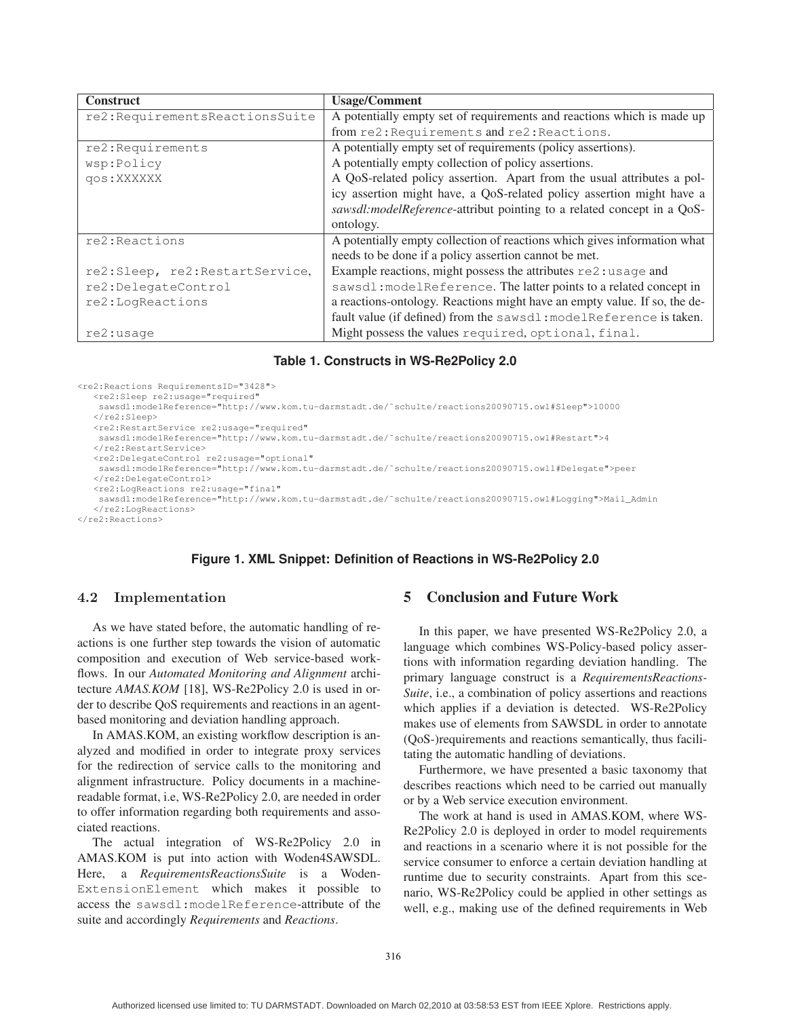| <b>Construct</b>                  | <b>Usage/Comment</b>                                                      |
|-----------------------------------|---------------------------------------------------------------------------|
| re2: Requirements Reactions Suite | A potentially empty set of requirements and reactions which is made up    |
|                                   | from re2: Requirements and re2: Reactions.                                |
| re2: Requirements                 | A potentially empty set of requirements (policy assertions).              |
| wsp:Policy                        | A potentially empty collection of policy assertions.                      |
| qos: XXXXXX                       | A QoS-related policy assertion. Apart from the usual attributes a pol-    |
|                                   | icy assertion might have, a QoS-related policy assertion might have a     |
|                                   | sawsdl:modelReference-attribut pointing to a related concept in a QoS-    |
|                                   | ontology.                                                                 |
| re2:Reactions                     | A potentially empty collection of reactions which gives information what  |
|                                   | needs to be done if a policy assertion cannot be met.                     |
| re2:Sleep, re2:RestartService,    | Example reactions, might possess the attributes re2: usage and            |
| re2:DelegateControl               | sawsdl: modelReference. The latter points to a related concept in         |
| re2:LogReactions                  | a reactions-ontology. Reactions might have an empty value. If so, the de- |
|                                   | fault value (if defined) from the sawsdl: modelReference is taken.        |
| re2:usage                         | Might possess the values required, optional, final.                       |

**Table 1. Constructs in WS-Re2Policy 2.0**

```
<re2:Reactions RequirementsID="3428">
   <re2:Sleep re2:usage="required"
   sawsdl:modelReference="http://www.kom.tu-darmstadt.de/˜schulte/reactions20090715.owl#Sleep">10000
   \langle/re2:Sleep>
  <re2:RestartService re2:usage="required"
   sawsdl:modelReference="http://www.kom.tu-darmstadt.de/˜schulte/reactions20090715.owl#Restart">4
  </re2:RestartService>
  <re2:DelegateControl re2:usage="optional"
   sawsdl:modelReference="http://www.kom.tu-darmstadt.de/˜schulte/reactions20090715.owll#Delegate">peer
  </re2:DelegateControl>
  <re2:LogReactions re2:usage="final"
   sawsdl:modelReference="http://www.kom.tu-darmstadt.de/˜schulte/reactions20090715.owl#Logging">Mail_Admin
   </re2:LogReactions>
</re2:Reactions>
```
#### **Figure 1. XML Snippet: Definition of Reactions in WS-Re2Policy 2.0**

#### **4.2 Implementation**

As we have stated before, the automatic handling of reactions is one further step towards the vision of automatic composition and execution of Web service-based workflows. In our *Automated Monitoring and Alignment* architecture *AMAS.KOM* [18], WS-Re2Policy 2.0 is used in order to describe QoS requirements and reactions in an agentbased monitoring and deviation handling approach.

In AMAS.KOM, an existing workflow description is analyzed and modified in order to integrate proxy services for the redirection of service calls to the monitoring and alignment infrastructure. Policy documents in a machinereadable format, i.e, WS-Re2Policy 2.0, are needed in order to offer information regarding both requirements and associated reactions.

The actual integration of WS-Re2Policy 2.0 in AMAS.KOM is put into action with Woden4SAWSDL. Here, a *RequirementsReactionsSuite* is a Woden-ExtensionElement which makes it possible to access the sawsdl:modelReference-attribute of the suite and accordingly *Requirements* and *Reactions*.

## 5 Conclusion and Future Work

In this paper, we have presented WS-Re2Policy 2.0, a language which combines WS-Policy-based policy assertions with information regarding deviation handling. The primary language construct is a *RequirementsReactions-Suite*, i.e., a combination of policy assertions and reactions which applies if a deviation is detected. WS-Re2Policy makes use of elements from SAWSDL in order to annotate (QoS-)requirements and reactions semantically, thus facilitating the automatic handling of deviations.

Furthermore, we have presented a basic taxonomy that describes reactions which need to be carried out manually or by a Web service execution environment.

The work at hand is used in AMAS.KOM, where WS-Re2Policy 2.0 is deployed in order to model requirements and reactions in a scenario where it is not possible for the service consumer to enforce a certain deviation handling at runtime due to security constraints. Apart from this scenario, WS-Re2Policy could be applied in other settings as well, e.g., making use of the defined requirements in Web